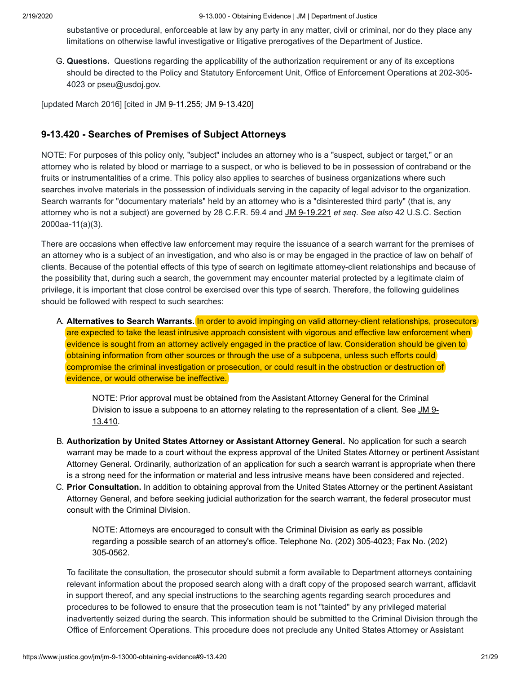substantive or procedural, enforceable at law by any party in any matter, civil or criminal, nor do they place any limitations on otherwise lawful investigative or litigative prerogatives of the Department of Justice.

G. **Questions.** Questions regarding the applicability of the authorization requirement or any of its exceptions should be directed to the Policy and Statutory Enforcement Unit, Office of Enforcement Operations at 202-305- 4023 or pseu@usdoj.gov.

[updated March 2016] [cited in [JM 9-11.255;](https://www.justice.gov/jm/jm-9-11000-grand-jury#9-11.255#9-11.255) JM 9-13.420]

## **9-13.420 - Searches of Premises of Subject Attorneys**

NOTE: For purposes of this policy only, "subject" includes an attorney who is a "suspect, subject or target," or an attorney who is related by blood or marriage to a suspect, or who is believed to be in possession of contraband or the fruits or instrumentalities of a crime. This policy also applies to searches of business organizations where such searches involve materials in the possession of individuals serving in the capacity of legal advisor to the organization. Search warrants for "documentary materials" held by an attorney who is a "disinterested third party" (that is, any attorney who is not a subject) are governed by 28 C.F.R. 59.4 and [JM 9-19.221](https://www.justice.gov/jm/jm-9-19000-documentary-material-held-third-parties#9-19.221#9-19.221) *et seq*. *See also* 42 U.S.C. Section 2000aa-11(a)(3).

There are occasions when effective law enforcement may require the issuance of a search warrant for the premises of an attorney who is a subject of an investigation, and who also is or may be engaged in the practice of law on behalf of clients. Because of the potential effects of this type of search on legitimate attorney-client relationships and because of the possibility that, during such a search, the government may encounter material protected by a legitimate claim of privilege, it is important that close control be exercised over this type of search. Therefore, the following guidelines should be followed with respect to such searches:

A. **Alternatives to Search Warrants.** In order to avoid impinging on valid attorney-client relationships, prosecutors are expected to take the least intrusive approach consistent with vigorous and effective law enforcement when evidence is sought from an attorney actively engaged in the practice of law. Consideration should be given to obtaining information from other sources or through the use of a subpoena, unless such efforts could compromise the criminal investigation or prosecution, or could result in the obstruction or destruction of evidence, or would otherwise be ineffective.

NOTE: Prior approval must be obtained from the Assistant Attorney General for the Criminal Division to issue a subpoena to an attorney relating to the representation of a client. See JM 9-13.410.

- B. **Authorization by United States Attorney or Assistant Attorney General.** No application for such a search warrant may be made to a court without the express approval of the United States Attorney or pertinent Assistant Attorney General. Ordinarily, authorization of an application for such a search warrant is appropriate when there is a strong need for the information or material and less intrusive means have been considered and rejected.
- C. **Prior Consultation.** In addition to obtaining approval from the United States Attorney or the pertinent Assistant Attorney General, and before seeking judicial authorization for the search warrant, the federal prosecutor must consult with the Criminal Division.

NOTE: Attorneys are encouraged to consult with the Criminal Division as early as possible regarding a possible search of an attorney's office. Telephone No. (202) 305-4023; Fax No. (202) 305-0562.

To facilitate the consultation, the prosecutor should submit a form available to Department attorneys containing relevant information about the proposed search along with a draft copy of the proposed search warrant, affidavit in support thereof, and any special instructions to the searching agents regarding search procedures and procedures to be followed to ensure that the prosecution team is not "tainted" by any privileged material inadvertently seized during the search. This information should be submitted to the Criminal Division through the Office of Enforcement Operations. This procedure does not preclude any United States Attorney or Assistant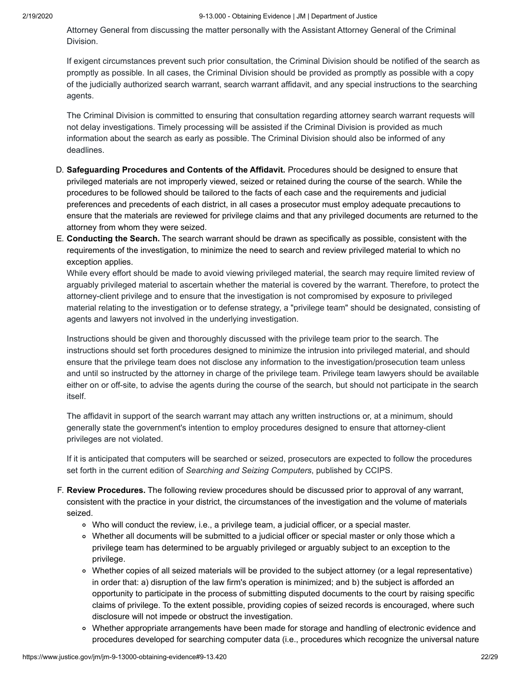Attorney General from discussing the matter personally with the Assistant Attorney General of the Criminal Division.

If exigent circumstances prevent such prior consultation, the Criminal Division should be notified of the search as promptly as possible. In all cases, the Criminal Division should be provided as promptly as possible with a copy of the judicially authorized search warrant, search warrant affidavit, and any special instructions to the searching agents.

The Criminal Division is committed to ensuring that consultation regarding attorney search warrant requests will not delay investigations. Timely processing will be assisted if the Criminal Division is provided as much information about the search as early as possible. The Criminal Division should also be informed of any deadlines.

- D. **Safeguarding Procedures and Contents of the Affidavit.** Procedures should be designed to ensure that privileged materials are not improperly viewed, seized or retained during the course of the search. While the procedures to be followed should be tailored to the facts of each case and the requirements and judicial preferences and precedents of each district, in all cases a prosecutor must employ adequate precautions to ensure that the materials are reviewed for privilege claims and that any privileged documents are returned to the attorney from whom they were seized.
- E. **Conducting the Search.** The search warrant should be drawn as specifically as possible, consistent with the requirements of the investigation, to minimize the need to search and review privileged material to which no exception applies.

While every effort should be made to avoid viewing privileged material, the search may require limited review of arguably privileged material to ascertain whether the material is covered by the warrant. Therefore, to protect the attorney-client privilege and to ensure that the investigation is not compromised by exposure to privileged material relating to the investigation or to defense strategy, a "privilege team" should be designated, consisting of agents and lawyers not involved in the underlying investigation.

Instructions should be given and thoroughly discussed with the privilege team prior to the search. The instructions should set forth procedures designed to minimize the intrusion into privileged material, and should ensure that the privilege team does not disclose any information to the investigation/prosecution team unless and until so instructed by the attorney in charge of the privilege team. Privilege team lawyers should be available either on or off-site, to advise the agents during the course of the search, but should not participate in the search itself.

The affidavit in support of the search warrant may attach any written instructions or, at a minimum, should generally state the government's intention to employ procedures designed to ensure that attorney-client privileges are not violated.

If it is anticipated that computers will be searched or seized, prosecutors are expected to follow the procedures set forth in the current edition of *Searching and Seizing Computers*, published by CCIPS.

- F. **Review Procedures.** The following review procedures should be discussed prior to approval of any warrant, consistent with the practice in your district, the circumstances of the investigation and the volume of materials seized.
	- Who will conduct the review, i.e., a privilege team, a judicial officer, or a special master.
	- Whether all documents will be submitted to a judicial officer or special master or only those which a privilege team has determined to be arguably privileged or arguably subject to an exception to the privilege.
	- Whether copies of all seized materials will be provided to the subject attorney (or a legal representative) in order that: a) disruption of the law firm's operation is minimized; and b) the subject is afforded an opportunity to participate in the process of submitting disputed documents to the court by raising specific claims of privilege. To the extent possible, providing copies of seized records is encouraged, where such disclosure will not impede or obstruct the investigation.
	- Whether appropriate arrangements have been made for storage and handling of electronic evidence and procedures developed for searching computer data (i.e., procedures which recognize the universal nature